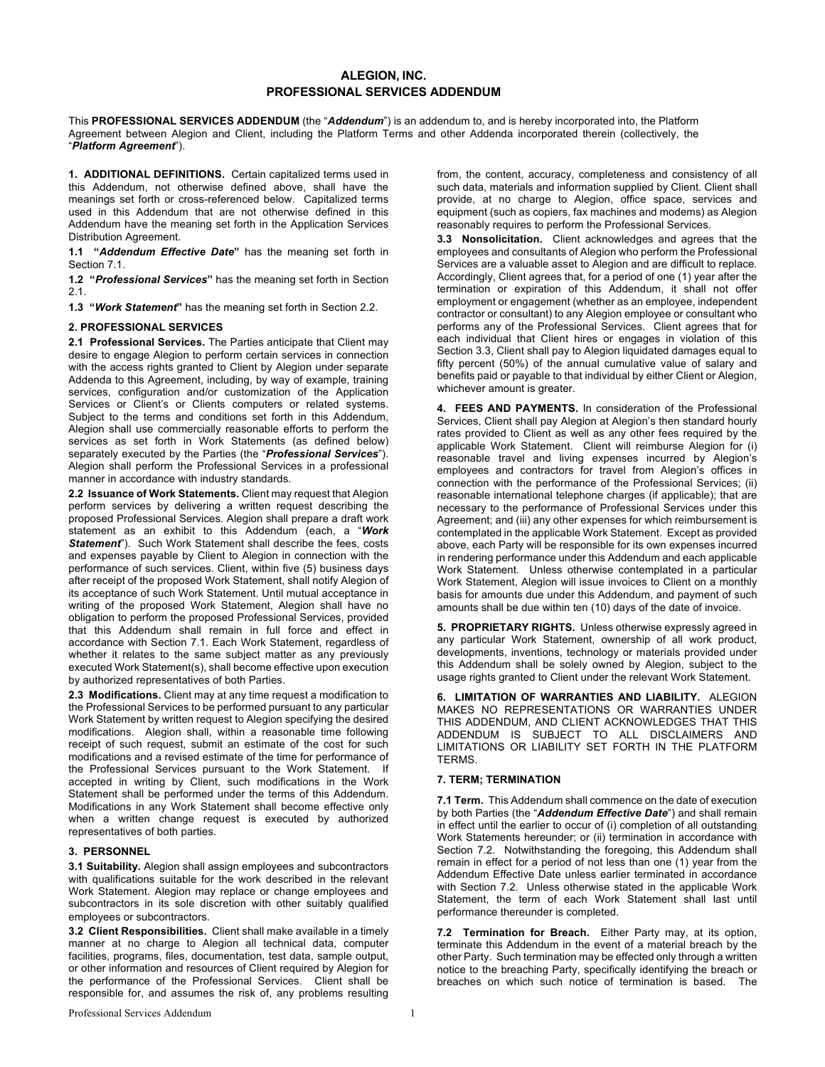## **ALEGION, INC. PROFESSIONAL SERVICES ADDENDUM**

This **PROFESSIONAL SERVICES ADDENDUM** (the "*Addendum*") is an addendum to, and is hereby incorporated into, the Platform Agreement between Alegion and Client, including the Platform Terms and other Addenda incorporated therein (collectively, the "*Platform Agreement*").

**1. ADDITIONAL DEFINITIONS.** Certain capitalized terms used in this Addendum, not otherwise defined above, shall have the meanings set forth or cross-referenced below. Capitalized terms used in this Addendum that are not otherwise defined in this Addendum have the meaning set forth in the Application Services Distribution Agreement.

**1.1 "***Addendum Effective Date***"** has the meaning set forth in Section 7.1.

**1.2 "***Professional Services***"** has the meaning set forth in Section 2.1.

**1.3 "***Work Statement***"** has the meaning set forth in Section 2.2.

## **2. PROFESSIONAL SERVICES**

**2.1 Professional Services.** The Parties anticipate that Client may desire to engage Alegion to perform certain services in connection with the access rights granted to Client by Alegion under separate Addenda to this Agreement, including, by way of example, training services, configuration and/or customization of the Application Services or Client's or Clients computers or related systems. Subject to the terms and conditions set forth in this Addendum, Alegion shall use commercially reasonable efforts to perform the services as set forth in Work Statements (as defined below) separately executed by the Parties (the "*Professional Services*"). Alegion shall perform the Professional Services in a professional manner in accordance with industry standards.

**2.2 Issuance of Work Statements.** Client may request that Alegion perform services by delivering a written request describing the proposed Professional Services. Alegion shall prepare a draft work statement as an exhibit to this Addendum (each, a "*Work Statement*"). Such Work Statement shall describe the fees, costs and expenses payable by Client to Alegion in connection with the performance of such services. Client, within five (5) business days after receipt of the proposed Work Statement, shall notify Alegion of its acceptance of such Work Statement. Until mutual acceptance in writing of the proposed Work Statement. Alegion shall have no obligation to perform the proposed Professional Services, provided that this Addendum shall remain in full force and effect in accordance with Section 7.1. Each Work Statement, regardless of whether it relates to the same subject matter as any previously executed Work Statement(s), shall become effective upon execution by authorized representatives of both Parties.

**2.3 Modifications.** Client may at any time request a modification to the Professional Services to be performed pursuant to any particular Work Statement by written request to Alegion specifying the desired modifications. Alegion shall, within a reasonable time following receipt of such request, submit an estimate of the cost for such modifications and a revised estimate of the time for performance of the Professional Services pursuant to the Work Statement. If accepted in writing by Client, such modifications in the Work Statement shall be performed under the terms of this Addendum. Modifications in any Work Statement shall become effective only when a written change request is executed by authorized representatives of both parties.

## **3. PERSONNEL**

**3.1 Suitability.** Alegion shall assign employees and subcontractors with qualifications suitable for the work described in the relevant Work Statement. Alegion may replace or change employees and subcontractors in its sole discretion with other suitably qualified employees or subcontractors.

**3.2 Client Responsibilities.** Client shall make available in a timely manner at no charge to Alegion all technical data, computer facilities, programs, files, documentation, test data, sample output, or other information and resources of Client required by Alegion for the performance of the Professional Services. Client shall be responsible for, and assumes the risk of, any problems resulting

from, the content, accuracy, completeness and consistency of all such data, materials and information supplied by Client. Client shall provide, at no charge to Alegion, office space, services and equipment (such as copiers, fax machines and modems) as Alegion reasonably requires to perform the Professional Services.

**3.3 Nonsolicitation.** Client acknowledges and agrees that the employees and consultants of Alegion who perform the Professional Services are a valuable asset to Alegion and are difficult to replace. Accordingly, Client agrees that, for a period of one (1) year after the termination or expiration of this Addendum, it shall not offer employment or engagement (whether as an employee, independent contractor or consultant) to any Alegion employee or consultant who performs any of the Professional Services. Client agrees that for each individual that Client hires or engages in violation of this Section 3.3, Client shall pay to Alegion liquidated damages equal to fifty percent (50%) of the annual cumulative value of salary and benefits paid or payable to that individual by either Client or Alegion, whichever amount is greater.

**4. FEES AND PAYMENTS.** In consideration of the Professional Services, Client shall pay Alegion at Alegion's then standard hourly rates provided to Client as well as any other fees required by the applicable Work Statement. Client will reimburse Alegion for (i) reasonable travel and living expenses incurred by Alegion's employees and contractors for travel from Alegion's offices in connection with the performance of the Professional Services; (ii) reasonable international telephone charges (if applicable); that are necessary to the performance of Professional Services under this Agreement; and (iii) any other expenses for which reimbursement is contemplated in the applicable Work Statement. Except as provided above, each Party will be responsible for its own expenses incurred in rendering performance under this Addendum and each applicable Work Statement. Unless otherwise contemplated in a particular Work Statement, Alegion will issue invoices to Client on a monthly basis for amounts due under this Addendum, and payment of such amounts shall be due within ten (10) days of the date of invoice.

**5. PROPRIETARY RIGHTS.** Unless otherwise expressly agreed in any particular Work Statement, ownership of all work product, developments, inventions, technology or materials provided under this Addendum shall be solely owned by Alegion, subject to the usage rights granted to Client under the relevant Work Statement.

**6. LIMITATION OF WARRANTIES AND LIABILITY.** ALEGION MAKES NO REPRESENTATIONS OR WARRANTIES UNDER THIS ADDENDUM, AND CLIENT ACKNOWLEDGES THAT THIS ADDENDUM IS SUBJECT TO ALL DISCLAIMERS AND LIMITATIONS OR LIABILITY SET FORTH IN THE PLATFORM TERMS.

## **7. TERM; TERMINATION**

**7.1 Term.** This Addendum shall commence on the date of execution by both Parties (the "*Addendum Effective Date*") and shall remain in effect until the earlier to occur of (i) completion of all outstanding Work Statements hereunder; or (ii) termination in accordance with Section 7.2. Notwithstanding the foregoing, this Addendum shall remain in effect for a period of not less than one (1) year from the Addendum Effective Date unless earlier terminated in accordance with Section 7.2. Unless otherwise stated in the applicable Work Statement, the term of each Work Statement shall last until performance thereunder is completed.

**7.2 Termination for Breach.** Either Party may, at its option, terminate this Addendum in the event of a material breach by the other Party. Such termination may be effected only through a written notice to the breaching Party, specifically identifying the breach or breaches on which such notice of termination is based. The